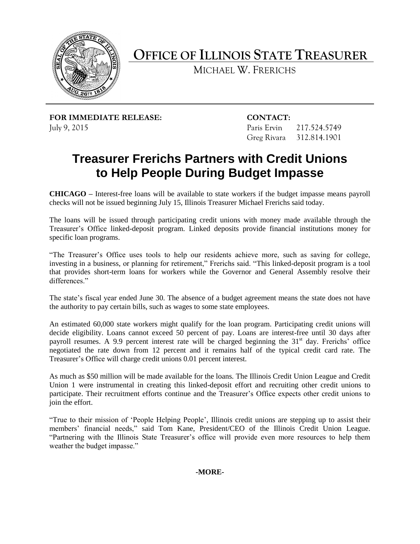

**OFFICE OF ILLINOIS STATE TREASURER**

MICHAEL W. FRERICHS

**FOR IMMEDIATE RELEASE: CONTACT:** July 9, 2015 Paris Ervin 217.524.5749

Greg Rivara 312.814.1901

# **Treasurer Frerichs Partners with Credit Unions to Help People During Budget Impasse**

**CHICAGO –** Interest-free loans will be available to state workers if the budget impasse means payroll checks will not be issued beginning July 15, Illinois Treasurer Michael Frerichs said today.

The loans will be issued through participating credit unions with money made available through the Treasurer's Office linked-deposit program. Linked deposits provide financial institutions money for specific loan programs.

"The Treasurer's Office uses tools to help our residents achieve more, such as saving for college, investing in a business, or planning for retirement," Frerichs said. "This linked-deposit program is a tool that provides short-term loans for workers while the Governor and General Assembly resolve their differences."

The state's fiscal year ended June 30. The absence of a budget agreement means the state does not have the authority to pay certain bills, such as wages to some state employees.

An estimated 60,000 state workers might qualify for the loan program. Participating credit unions will decide eligibility. Loans cannot exceed 50 percent of pay. Loans are interest-free until 30 days after payroll resumes. A 9.9 percent interest rate will be charged beginning the 31<sup>st</sup> day. Frerichs' office negotiated the rate down from 12 percent and it remains half of the typical credit card rate. The Treasurer's Office will charge credit unions 0.01 percent interest.

As much as \$50 million will be made available for the loans. The Illinois Credit Union League and Credit Union 1 were instrumental in creating this linked-deposit effort and recruiting other credit unions to participate. Their recruitment efforts continue and the Treasurer's Office expects other credit unions to join the effort.

"True to their mission of 'People Helping People', Illinois credit unions are stepping up to assist their members' financial needs," said Tom Kane, President/CEO of the Illinois Credit Union League. "Partnering with the Illinois State Treasurer's office will provide even more resources to help them weather the budget impasse."

**-MORE-**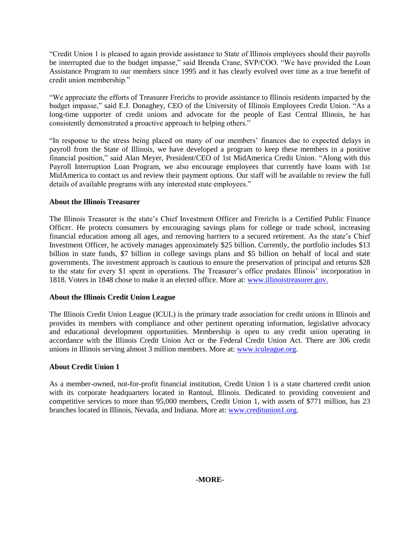"Credit Union 1 is pleased to again provide assistance to State of Illinois employees should their payrolls be interrupted due to the budget impasse," said Brenda Crane, SVP/COO. "We have provided the Loan Assistance Program to our members since 1995 and it has clearly evolved over time as a true benefit of credit union membership."

"We appreciate the efforts of Treasurer Frerichs to provide assistance to Illinois residents impacted by the budget impasse," said E.J. Donaghey, CEO of the University of Illinois Employees Credit Union. "As a long-time supporter of credit unions and advocate for the people of East Central Illinois, he has consistently demonstrated a proactive approach to helping others."

"In response to the stress being placed on many of our members' finances due to expected delays in payroll from the State of Illinois, we have developed a program to keep these members in a positive financial position," said Alan Meyer, President/CEO of 1st MidAmerica Credit Union. "Along with this Payroll Interruption Loan Program, we also encourage employees that currently have loans with 1st MidAmerica to contact us and review their payment options. Our staff will be available to review the full details of available programs with any interested state employees."

## **About the Illinois Treasurer**

The Illinois Treasurer is the state's Chief Investment Officer and Frerichs is a Certified Public Finance Officer. He protects consumers by encouraging savings plans for college or trade school, increasing financial education among all ages, and removing barriers to a secured retirement. As the state's Chief Investment Officer, he actively manages approximately \$25 billion. Currently, the portfolio includes \$13 billion in state funds, \$7 billion in college savings plans and \$5 billion on behalf of local and state governments. The investment approach is cautious to ensure the preservation of principal and returns \$28 to the state for every \$1 spent in operations. The Treasurer's office predates Illinois' incorporation in 1818. Voters in 1848 chose to make it an elected office. More at[: www.illinoistreasurer.gov.](http://www.illinoistreasurer.gov/)

## **About the Illinois Credit Union League**

The Illinois Credit Union League (ICUL) is the primary trade association for credit unions in Illinois and provides its members with compliance and other pertinent operating information, legislative advocacy and educational development opportunities. Membership is open to any credit union operating in accordance with the Illinois Credit Union Act or the Federal Credit Union Act. There are 306 credit unions in Illinois serving almost 3 million members. More at: [www.iculeague.org.](http://www.iculeague.org/)

# **About Credit Union 1**

As a member-owned, not-for-profit financial institution, Credit Union 1 is a state chartered credit union with its corporate headquarters located in Rantoul, Illinois. Dedicated to providing convenient and competitive services to more than 95,000 members, Credit Union 1, with assets of \$771 million, has 23 branches located in Illinois, Nevada, and Indiana. More at: [www.creditunion1.org.](http://www.creditunion1.org/)

# **-MORE-**